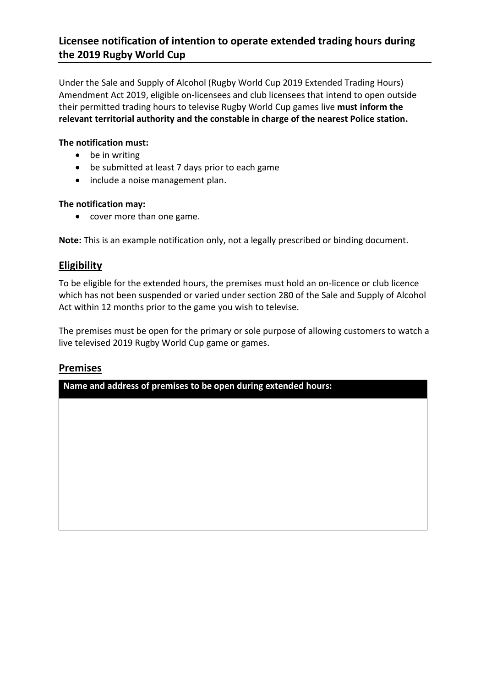# **Licensee notification of intention to operate extended trading hours during the 2019 Rugby World Cup**

Under the Sale and Supply of Alcohol (Rugby World Cup 2019 Extended Trading Hours) Amendment Act 2019, eligible on-licensees and club licensees that intend to open outside their permitted trading hours to televise Rugby World Cup games live **must inform the relevant territorial authority and the constable in charge of the nearest Police station.**

#### **The notification must:**

- be in writing
- be submitted at least 7 days prior to each game
- include a noise management plan.

#### **The notification may:**

• cover more than one game.

**Note:** This is an example notification only, not a legally prescribed or binding document.

#### **Eligibility**

To be eligible for the extended hours, the premises must hold an on-licence or club licence which has not been suspended or varied under section 280 of the Sale and Supply of Alcohol Act within 12 months prior to the game you wish to televise.

The premises must be open for the primary or sole purpose of allowing customers to watch a live televised 2019 Rugby World Cup game or games.

### **Premises**

**Name and address of premises to be open during extended hours:**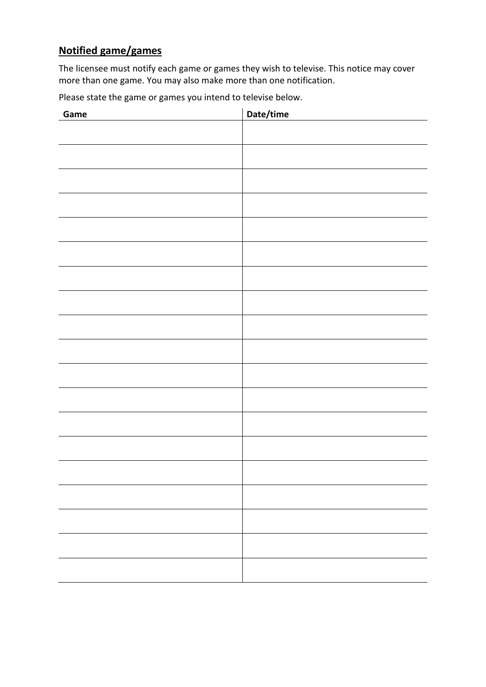# **Notified game/games**

The licensee must notify each game or games they wish to televise. This notice may cover more than one game. You may also make more than one notification.

Please state the game or games you intend to televise below.

| Game | Date/time |
|------|-----------|
|      |           |
|      |           |
|      |           |
|      |           |
|      |           |
|      |           |
|      |           |
|      |           |
|      |           |
|      |           |
|      |           |
|      |           |
|      |           |
|      |           |
|      |           |
|      |           |
|      |           |
|      |           |
|      |           |
|      |           |